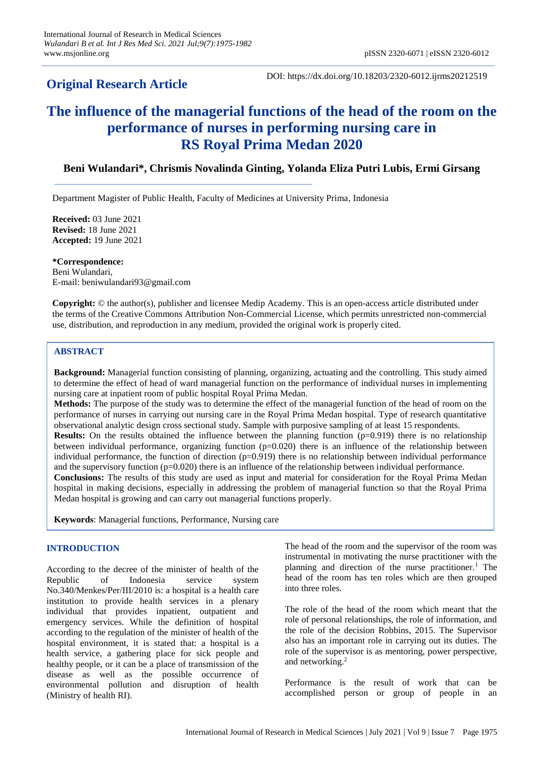# **Original Research Article**

DOI: https://dx.doi.org/10.18203/2320-6012.ijrms20212519

# **The influence of the managerial functions of the head of the room on the performance of nurses in performing nursing care in RS Royal Prima Medan 2020**

# **Beni Wulandari\*, Chrismis Novalinda Ginting, Yolanda Eliza Putri Lubis, Ermi Girsang**

Department Magister of Public Health, Faculty of Medicines at University Prima, Indonesia

**Received:** 03 June 2021 **Revised:** 18 June 2021 **Accepted:** 19 June 2021

**\*Correspondence:** Beni Wulandari,

E-mail: beniwulandari93@gmail.com

**Copyright:** © the author(s), publisher and licensee Medip Academy. This is an open-access article distributed under the terms of the Creative Commons Attribution Non-Commercial License, which permits unrestricted non-commercial use, distribution, and reproduction in any medium, provided the original work is properly cited.

# **ABSTRACT**

**Background:** Managerial function consisting of planning, organizing, actuating and the controlling. This study aimed to determine the effect of head of ward managerial function on the performance of individual nurses in implementing nursing care at inpatient room of public hospital Royal Prima Medan.

**Methods:** The purpose of the study was to determine the effect of the managerial function of the head of room on the performance of nurses in carrying out nursing care in the Royal Prima Medan hospital. Type of research quantitative observational analytic design cross sectional study. Sample with purposive sampling of at least 15 respondents.

**Results:** On the results obtained the influence between the planning function (p=0.919) there is no relationship between individual performance, organizing function  $(p=0.020)$  there is an influence of the relationship between individual performance, the function of direction  $(p=0.919)$  there is no relationship between individual performance and the supervisory function ( $p=0.020$ ) there is an influence of the relationship between individual performance.

**Conclusions:** The results of this study are used as input and material for consideration for the Royal Prima Medan hospital in making decisions, especially in addressing the problem of managerial function so that the Royal Prima Medan hospital is growing and can carry out managerial functions properly.

**Keywords**: Managerial functions, Performance, Nursing care

# **INTRODUCTION**

According to the decree of the minister of health of the Republic of Indonesia service system No.340/Menkes/Per/III/2010 is: a hospital is a health care institution to provide health services in a plenary individual that provides inpatient, outpatient and emergency services. While the definition of hospital according to the regulation of the minister of health of the hospital environment, it is stated that: a hospital is a health service, a gathering place for sick people and healthy people, or it can be a place of transmission of the disease as well as the possible occurrence of environmental pollution and disruption of health (Ministry of health RI).

The head of the room and the supervisor of the room was instrumental in motivating the nurse practitioner with the planning and direction of the nurse practitioner.<sup>1</sup> The head of the room has ten roles which are then grouped into three roles.

The role of the head of the room which meant that the role of personal relationships, the role of information, and the role of the decision Robbins, 2015. The Supervisor also has an important role in carrying out its duties. The role of the supervisor is as mentoring, power perspective, and networking.<sup>2</sup>

Performance is the result of work that can be accomplished person or group of people in an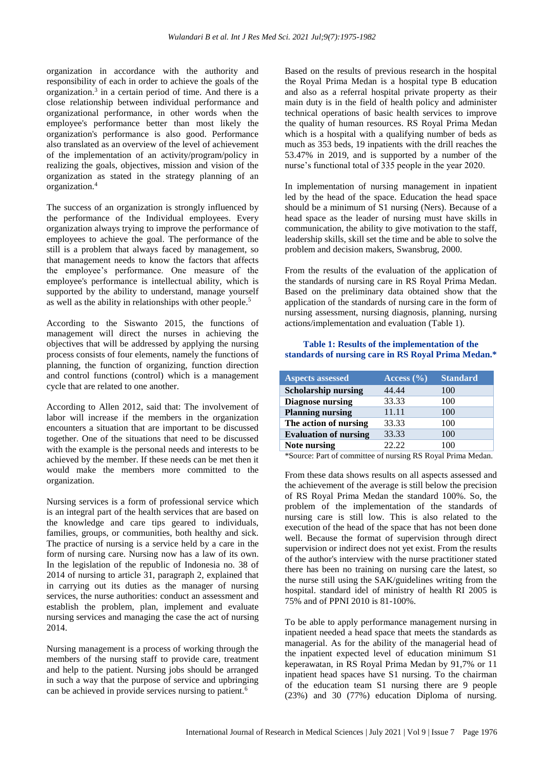organization in accordance with the authority and responsibility of each in order to achieve the goals of the organization. 3 in a certain period of time. And there is a close relationship between individual performance and organizational performance, in other words when the employee's performance better than most likely the organization's performance is also good. Performance also translated as an overview of the level of achievement of the implementation of an activity/program/policy in realizing the goals, objectives, mission and vision of the organization as stated in the strategy planning of an organization.<sup>4</sup>

The success of an organization is strongly influenced by the performance of the Individual employees. Every organization always trying to improve the performance of employees to achieve the goal. The performance of the still is a problem that always faced by management, so that management needs to know the factors that affects the employee's performance. One measure of the employee's performance is intellectual ability, which is supported by the ability to understand, manage yourself as well as the ability in relationships with other people.<sup>5</sup>

According to the Siswanto 2015, the functions of management will direct the nurses in achieving the objectives that will be addressed by applying the nursing process consists of four elements, namely the functions of planning, the function of organizing, function direction and control functions (control) which is a management cycle that are related to one another.

According to Allen 2012, said that: The involvement of labor will increase if the members in the organization encounters a situation that are important to be discussed together. One of the situations that need to be discussed with the example is the personal needs and interests to be achieved by the member. If these needs can be met then it would make the members more committed to the organization.

Nursing services is a form of professional service which is an integral part of the health services that are based on the knowledge and care tips geared to individuals, families, groups, or communities, both healthy and sick. The practice of nursing is a service held by a care in the form of nursing care. Nursing now has a law of its own. In the legislation of the republic of Indonesia no. 38 of 2014 of nursing to article 31, paragraph 2, explained that in carrying out its duties as the manager of nursing services, the nurse authorities: conduct an assessment and establish the problem, plan, implement and evaluate nursing services and managing the case the act of nursing 2014.

Nursing management is a process of working through the members of the nursing staff to provide care, treatment and help to the patient. Nursing jobs should be arranged in such a way that the purpose of service and upbringing can be achieved in provide services nursing to patient.<sup>6</sup>

Based on the results of previous research in the hospital the Royal Prima Medan is a hospital type B education and also as a referral hospital private property as their main duty is in the field of health policy and administer technical operations of basic health services to improve the quality of human resources. RS Royal Prima Medan which is a hospital with a qualifying number of beds as much as 353 beds, 19 inpatients with the drill reaches the 53.47% in 2019, and is supported by a number of the nurse's functional total of 335 people in the year 2020.

In implementation of nursing management in inpatient led by the head of the space. Education the head space should be a minimum of S1 nursing (Ners). Because of a head space as the leader of nursing must have skills in communication, the ability to give motivation to the staff, leadership skills, skill set the time and be able to solve the problem and decision makers, Swansbrug, 2000.

From the results of the evaluation of the application of the standards of nursing care in RS Royal Prima Medan. Based on the preliminary data obtained show that the application of the standards of nursing care in the form of nursing assessment, nursing diagnosis, planning, nursing actions/implementation and evaluation (Table 1).

# **Table 1: Results of the implementation of the standards of nursing care in RS Royal Prima Medan.\***

| <b>Aspects assessed</b>      | Access $(\% )$ | <b>Standard</b> |
|------------------------------|----------------|-----------------|
| <b>Scholarship nursing</b>   | 44.44          | 100             |
| <b>Diagnose nursing</b>      | 33.33          | 100             |
| <b>Planning nursing</b>      | 11.11          | 100             |
| The action of nursing        | 33.33          | 100             |
| <b>Evaluation of nursing</b> | 33.33          | 100             |
| Note nursing                 | 22.22          | 100             |

\*Source: Part of committee of nursing RS Royal Prima Medan.

From these data shows results on all aspects assessed and the achievement of the average is still below the precision of RS Royal Prima Medan the standard 100%. So, the problem of the implementation of the standards of nursing care is still low. This is also related to the execution of the head of the space that has not been done well. Because the format of supervision through direct supervision or indirect does not yet exist. From the results of the author's interview with the nurse practitioner stated there has been no training on nursing care the latest, so the nurse still using the SAK/guidelines writing from the hospital. standard idel of ministry of health RI 2005 is 75% and of PPNI 2010 is 81-100%.

To be able to apply performance management nursing in inpatient needed a head space that meets the standards as managerial. As for the ability of the managerial head of the inpatient expected level of education minimum S1 keperawatan, in RS Royal Prima Medan by 91,7% or 11 inpatient head spaces have S1 nursing. To the chairman of the education team S1 nursing there are 9 people (23%) and 30 (77%) education Diploma of nursing.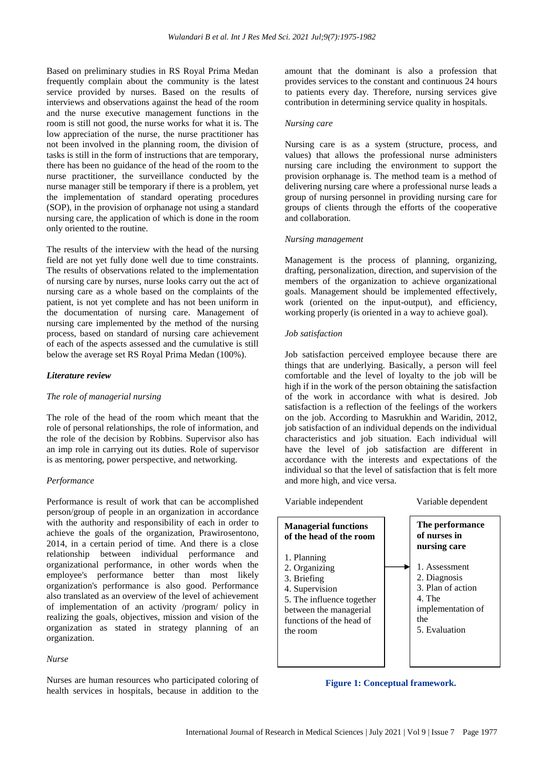Based on preliminary studies in RS Royal Prima Medan frequently complain about the community is the latest service provided by nurses. Based on the results of interviews and observations against the head of the room and the nurse executive management functions in the room is still not good, the nurse works for what it is. The low appreciation of the nurse, the nurse practitioner has not been involved in the planning room, the division of tasks is still in the form of instructions that are temporary, there has been no guidance of the head of the room to the nurse practitioner, the surveillance conducted by the nurse manager still be temporary if there is a problem, yet the implementation of standard operating procedures (SOP), in the provision of orphanage not using a standard nursing care, the application of which is done in the room only oriented to the routine.

The results of the interview with the head of the nursing field are not yet fully done well due to time constraints. The results of observations related to the implementation of nursing care by nurses, nurse looks carry out the act of nursing care as a whole based on the complaints of the patient, is not yet complete and has not been uniform in the documentation of nursing care. Management of nursing care implemented by the method of the nursing process, based on standard of nursing care achievement of each of the aspects assessed and the cumulative is still below the average set RS Royal Prima Medan (100%).

#### *Literature review*

#### *The role of managerial nursing*

The role of the head of the room which meant that the role of personal relationships, the role of information, and the role of the decision by Robbins. Supervisor also has an imp role in carrying out its duties. Role of supervisor is as mentoring, power perspective, and networking.

# *Performance*

Performance is result of work that can be accomplished person/group of people in an organization in accordance with the authority and responsibility of each in order to achieve the goals of the organization, Prawirosentono, 2014, in a certain period of time. And there is a close relationship between individual performance and organizational performance, in other words when the employee's performance better than most likely organization's performance is also good. Performance also translated as an overview of the level of achievement of implementation of an activity /program/ policy in realizing the goals, objectives, mission and vision of the organization as stated in strategy planning of an organization.

#### *Nurse*

Nurses are human resources who participated coloring of health services in hospitals, because in addition to the amount that the dominant is also a profession that provides services to the constant and continuous 24 hours to patients every day. Therefore, nursing services give contribution in determining service quality in hospitals.

#### *Nursing care*

Nursing care is as a system (structure, process, and values) that allows the professional nurse administers nursing care including the environment to support the provision orphanage is. The method team is a method of delivering nursing care where a professional nurse leads a group of nursing personnel in providing nursing care for groups of clients through the efforts of the cooperative and collaboration.

#### *Nursing management*

Management is the process of planning, organizing, drafting, personalization, direction, and supervision of the members of the organization to achieve organizational goals. Management should be implemented effectively, work (oriented on the input-output), and efficiency, working properly (is oriented in a way to achieve goal).

### *Job satisfaction*

Job satisfaction perceived employee because there are things that are underlying. Basically, a person will feel comfortable and the level of loyalty to the job will be high if in the work of the person obtaining the satisfaction of the work in accordance with what is desired. Job satisfaction is a reflection of the feelings of the workers on the job. According to Masrukhin and Waridin, 2012, job satisfaction of an individual depends on the individual characteristics and job situation. Each individual will have the level of job satisfaction are different in accordance with the interests and expectations of the individual so that the level of satisfaction that is felt more and more high, and vice versa.

Variable independent Variable dependent

**Managerial functions of the head of the room** 1. Planning 2. Organizing 3. Briefing 4. Supervision 5. The influence together between the managerial functions of the head of the room **The performance of nurses in nursing care** 1. Assessment 2. Diagnosis 3. Plan of action 4. The implementation of the 5. Evaluation

# **Figure 1: Conceptual framework.**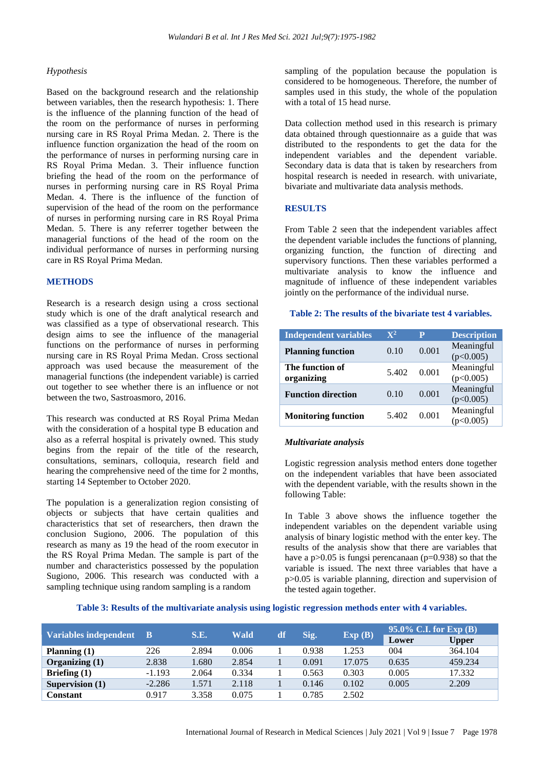#### *Hypothesis*

Based on the background research and the relationship between variables, then the research hypothesis: 1. There is the influence of the planning function of the head of the room on the performance of nurses in performing nursing care in RS Royal Prima Medan. 2. There is the influence function organization the head of the room on the performance of nurses in performing nursing care in RS Royal Prima Medan. 3. Their influence function briefing the head of the room on the performance of nurses in performing nursing care in RS Royal Prima Medan. 4. There is the influence of the function of supervision of the head of the room on the performance of nurses in performing nursing care in RS Royal Prima Medan. 5. There is any referrer together between the managerial functions of the head of the room on the individual performance of nurses in performing nursing care in RS Royal Prima Medan.

#### **METHODS**

Research is a research design using a cross sectional study which is one of the draft analytical research and was classified as a type of observational research. This design aims to see the influence of the managerial functions on the performance of nurses in performing nursing care in RS Royal Prima Medan. Cross sectional approach was used because the measurement of the managerial functions (the independent variable) is carried out together to see whether there is an influence or not between the two, Sastroasmoro, 2016.

This research was conducted at RS Royal Prima Medan with the consideration of a hospital type B education and also as a referral hospital is privately owned. This study begins from the repair of the title of the research, consultations, seminars, colloquia, research field and hearing the comprehensive need of the time for 2 months, starting 14 September to October 2020.

The population is a generalization region consisting of objects or subjects that have certain qualities and characteristics that set of researchers, then drawn the conclusion Sugiono, 2006. The population of this research as many as 19 the head of the room executor in the RS Royal Prima Medan. The sample is part of the number and characteristics possessed by the population Sugiono, 2006. This research was conducted with a sampling technique using random sampling is a random

sampling of the population because the population is considered to be homogeneous. Therefore, the number of samples used in this study, the whole of the population with a total of 15 head nurse.

Data collection method used in this research is primary data obtained through questionnaire as a guide that was distributed to the respondents to get the data for the independent variables and the dependent variable. Secondary data is data that is taken by researchers from hospital research is needed in research. with univariate, bivariate and multivariate data analysis methods.

### **RESULTS**

From Table 2 seen that the independent variables affect the dependent variable includes the functions of planning, organizing function, the function of directing and supervisory functions. Then these variables performed a multivariate analysis to know the influence and magnitude of influence of these independent variables jointly on the performance of the individual nurse.

#### **Table 2: The results of the bivariate test 4 variables.**

| <b>Independent variables</b>  | $\mathbf{X}^2$ | P     | <b>Description</b>      |
|-------------------------------|----------------|-------|-------------------------|
| <b>Planning function</b>      | 0.10           | 0.001 | Meaningful<br>(p<0.005) |
| The function of<br>organizing | 5.402          | 0.001 | Meaningful<br>(p<0.005) |
| <b>Function direction</b>     | 0.10           | 0.001 | Meaningful<br>(p<0.005) |
| <b>Monitoring function</b>    | 5.402          | 0.001 | Meaningful<br>0.005)    |

#### *Multivariate analysis*

Logistic regression analysis method enters done together on the independent variables that have been associated with the dependent variable, with the results shown in the following Table:

In Table 3 above shows the influence together the independent variables on the dependent variable using analysis of binary logistic method with the enter key. The results of the analysis show that there are variables that have a  $p > 0.05$  is fungsi perencanaan ( $p = 0.938$ ) so that the variable is issued. The next three variables that have a p>0.05 is variable planning, direction and supervision of the tested again together.

**Table 3: Results of the multivariate analysis using logistic regression methods enter with 4 variables.**

| Variables independent B |          | S.E.  | Wald  | df | Sig.  | Exp(B) | 95.0% C.I. for Exp $(B)$ |              |
|-------------------------|----------|-------|-------|----|-------|--------|--------------------------|--------------|
|                         |          |       |       |    |       |        | Lower                    | <b>Upper</b> |
| Planning $(1)$          | 226      | 2.894 | 0.006 |    | 0.938 | 1.253  | 004                      | 364.104      |
| Organizing $(1)$        | 2.838    | 1.680 | 2.854 |    | 0.091 | 17.075 | 0.635                    | 459.234      |
| Briefing $(1)$          | $-1.193$ | 2.064 | 0.334 |    | 0.563 | 0.303  | 0.005                    | 17.332       |
| Supervision $(1)$       | $-2.286$ | 1.571 | 2.118 |    | 0.146 | 0.102  | 0.005                    | 2.209        |
| <b>Constant</b>         | 0.917    | 3.358 | 0.075 |    | 0.785 | 2.502  |                          |              |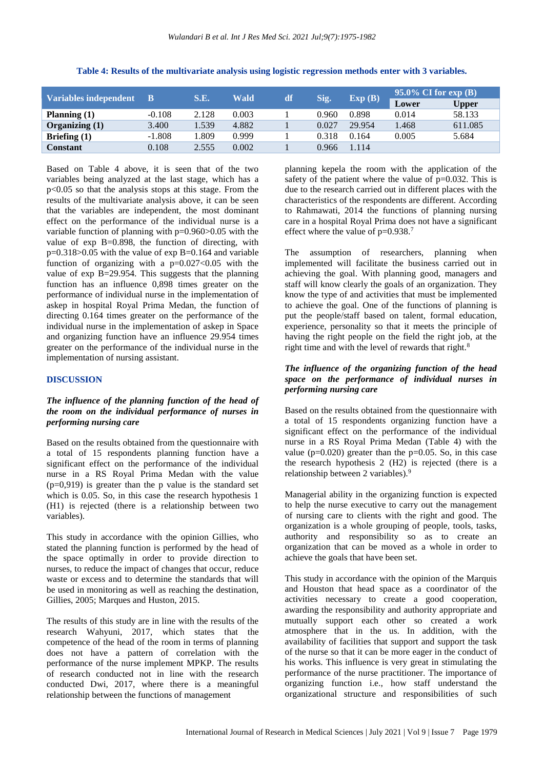| <b>Variables independent</b> |          | S.E.  | <b>Wald</b> | df | Sig.  | Exp(B) | $95.0\%$ CI for $\exp(B)$ |              |
|------------------------------|----------|-------|-------------|----|-------|--------|---------------------------|--------------|
|                              |          |       |             |    |       |        | Lower                     | <b>Upper</b> |
| Planning $(1)$               | $-0.108$ | 2.128 | 0.003       |    | 0.960 | 0.898  | 0.014                     | 58.133       |
| Organizing $(1)$             | 3.400    | 1.539 | 4.882       |    | 0.027 | 29.954 | 1.468                     | 611.085      |
| Briefing $(1)$               | $-1.808$ | .809  | 0.999       |    | 0.318 | 0.164  | 0.005                     | 5.684        |
| <b>Constant</b>              | 0.108    | 2.555 | 0.002       |    | 0.966 | 1.114  |                           |              |

**Table 4: Results of the multivariate analysis using logistic regression methods enter with 3 variables.**

Based on Table 4 above, it is seen that of the two variables being analyzed at the last stage, which has a p<0.05 so that the analysis stops at this stage. From the results of the multivariate analysis above, it can be seen that the variables are independent, the most dominant effect on the performance of the individual nurse is a variable function of planning with p=0.960>0.05 with the value of exp B=0.898, the function of directing, with  $p=0.318>0.05$  with the value of exp B=0.164 and variable function of organizing with a  $p=0.027<0.05$  with the value of exp B=29.954. This suggests that the planning function has an influence 0,898 times greater on the performance of individual nurse in the implementation of askep in hospital Royal Prima Medan, the function of directing 0.164 times greater on the performance of the individual nurse in the implementation of askep in Space and organizing function have an influence 29.954 times greater on the performance of the individual nurse in the implementation of nursing assistant.

### **DISCUSSION**

# *The influence of the planning function of the head of the room on the individual performance of nurses in performing nursing care*

Based on the results obtained from the questionnaire with a total of 15 respondents planning function have a significant effect on the performance of the individual nurse in a RS Royal Prima Medan with the value  $(p=0.919)$  is greater than the p value is the standard set which is 0.05. So, in this case the research hypothesis 1 (H1) is rejected (there is a relationship between two variables).

This study in accordance with the opinion Gillies, who stated the planning function is performed by the head of the space optimally in order to provide direction to nurses, to reduce the impact of changes that occur, reduce waste or excess and to determine the standards that will be used in monitoring as well as reaching the destination, Gillies, 2005; Marques and Huston, 2015.

The results of this study are in line with the results of the research Wahyuni, 2017, which states that the competence of the head of the room in terms of planning does not have a pattern of correlation with the performance of the nurse implement MPKP. The results of research conducted not in line with the research conducted Dwi, 2017, where there is a meaningful relationship between the functions of management

planning kepela the room with the application of the safety of the patient where the value of  $p=0.032$ . This is due to the research carried out in different places with the characteristics of the respondents are different. According to Rahmawati, 2014 the functions of planning nursing care in a hospital Royal Prima does not have a significant effect where the value of  $p=0.938$ .<sup>7</sup>

The assumption of researchers, planning when implemented will facilitate the business carried out in achieving the goal. With planning good, managers and staff will know clearly the goals of an organization. They know the type of and activities that must be implemented to achieve the goal. One of the functions of planning is put the people/staff based on talent, formal education, experience, personality so that it meets the principle of having the right people on the field the right job, at the right time and with the level of rewards that right.<sup>8</sup>

### *The influence of the organizing function of the head space on the performance of individual nurses in performing nursing care*

Based on the results obtained from the questionnaire with a total of 15 respondents organizing function have a significant effect on the performance of the individual nurse in a RS Royal Prima Medan (Table 4) with the value ( $p=0.020$ ) greater than the  $p=0.05$ . So, in this case the research hypothesis 2 (H2) is rejected (there is a relationship between 2 variables).<sup>9</sup>

Managerial ability in the organizing function is expected to help the nurse executive to carry out the management of nursing care to clients with the right and good. The organization is a whole grouping of people, tools, tasks, authority and responsibility so as to create an organization that can be moved as a whole in order to achieve the goals that have been set.

This study in accordance with the opinion of the Marquis and Houston that head space as a coordinator of the activities necessary to create a good cooperation, awarding the responsibility and authority appropriate and mutually support each other so created a work atmosphere that in the us. In addition, with the availability of facilities that support and support the task of the nurse so that it can be more eager in the conduct of his works. This influence is very great in stimulating the performance of the nurse practitioner. The importance of organizing function i.e., how staff understand the organizational structure and responsibilities of such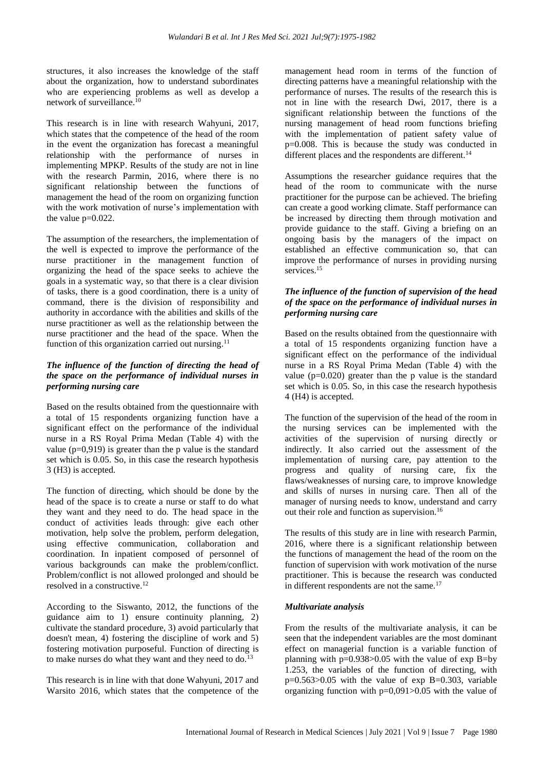structures, it also increases the knowledge of the staff about the organization, how to understand subordinates who are experiencing problems as well as develop a network of surveillance.<sup>10</sup>

This research is in line with research Wahyuni, 2017, which states that the competence of the head of the room in the event the organization has forecast a meaningful relationship with the performance of nurses in implementing MPKP. Results of the study are not in line with the research Parmin, 2016, where there is no significant relationship between the functions of management the head of the room on organizing function with the work motivation of nurse's implementation with the value p=0.022.

The assumption of the researchers, the implementation of the well is expected to improve the performance of the nurse practitioner in the management function of organizing the head of the space seeks to achieve the goals in a systematic way, so that there is a clear division of tasks, there is a good coordination, there is a unity of command, there is the division of responsibility and authority in accordance with the abilities and skills of the nurse practitioner as well as the relationship between the nurse practitioner and the head of the space. When the function of this organization carried out nursing.<sup>11</sup>

# *The influence of the function of directing the head of the space on the performance of individual nurses in performing nursing care*

Based on the results obtained from the questionnaire with a total of 15 respondents organizing function have a significant effect on the performance of the individual nurse in a RS Royal Prima Medan (Table 4) with the value  $(p=0.919)$  is greater than the p value is the standard set which is 0.05. So, in this case the research hypothesis 3 (H3) is accepted.

The function of directing, which should be done by the head of the space is to create a nurse or staff to do what they want and they need to do. The head space in the conduct of activities leads through: give each other motivation, help solve the problem, perform delegation, using effective communication, collaboration and coordination. In inpatient composed of personnel of various backgrounds can make the problem/conflict. Problem/conflict is not allowed prolonged and should be resolved in a constructive.<sup>12</sup>

According to the Siswanto, 2012, the functions of the guidance aim to 1) ensure continuity planning, 2) cultivate the standard procedure, 3) avoid particularly that doesn't mean, 4) fostering the discipline of work and 5) fostering motivation purposeful. Function of directing is to make nurses do what they want and they need to do.<sup>13</sup>

This research is in line with that done Wahyuni, 2017 and Warsito 2016, which states that the competence of the

management head room in terms of the function of directing patterns have a meaningful relationship with the performance of nurses. The results of the research this is not in line with the research Dwi, 2017, there is a significant relationship between the functions of the nursing management of head room functions briefing with the implementation of patient safety value of p=0.008. This is because the study was conducted in different places and the respondents are different.<sup>14</sup>

Assumptions the researcher guidance requires that the head of the room to communicate with the nurse practitioner for the purpose can be achieved. The briefing can create a good working climate. Staff performance can be increased by directing them through motivation and provide guidance to the staff. Giving a briefing on an ongoing basis by the managers of the impact on established an effective communication so, that can improve the performance of nurses in providing nursing services.<sup>15</sup>

# *The influence of the function of supervision of the head of the space on the performance of individual nurses in performing nursing care*

Based on the results obtained from the questionnaire with a total of 15 respondents organizing function have a significant effect on the performance of the individual nurse in a RS Royal Prima Medan (Table 4) with the value ( $p=0.020$ ) greater than the p value is the standard set which is 0.05. So, in this case the research hypothesis 4 (H4) is accepted.

The function of the supervision of the head of the room in the nursing services can be implemented with the activities of the supervision of nursing directly or indirectly. It also carried out the assessment of the implementation of nursing care, pay attention to the progress and quality of nursing care, fix the flaws/weaknesses of nursing care, to improve knowledge and skills of nurses in nursing care. Then all of the manager of nursing needs to know, understand and carry out their role and function as supervision.<sup>16</sup>

The results of this study are in line with research Parmin, 2016, where there is a significant relationship between the functions of management the head of the room on the function of supervision with work motivation of the nurse practitioner. This is because the research was conducted in different respondents are not the same.<sup>17</sup>

# *Multivariate analysis*

From the results of the multivariate analysis, it can be seen that the independent variables are the most dominant effect on managerial function is a variable function of planning with  $p=0.938>0.05$  with the value of exp B=by 1.253, the variables of the function of directing, with  $p=0.563>0.05$  with the value of exp B=0.303, variable organizing function with  $p=0,091>0.05$  with the value of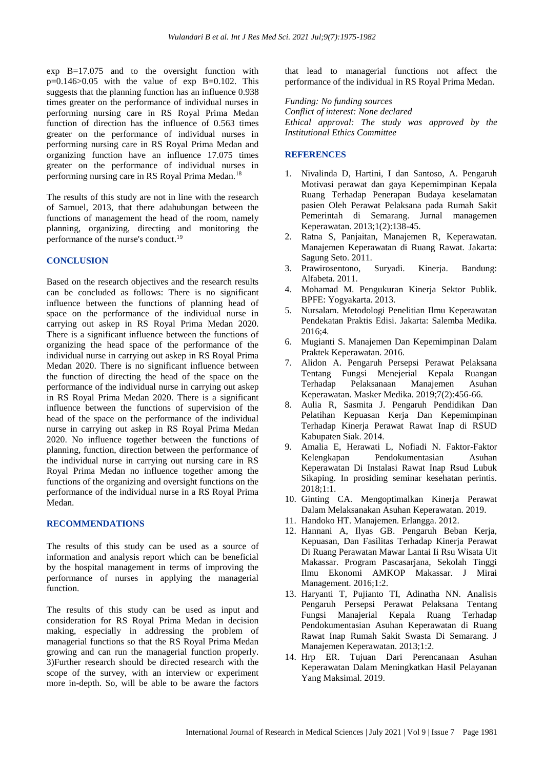exp B=17.075 and to the oversight function with  $p=0.146>0.05$  with the value of exp B=0.102. This suggests that the planning function has an influence 0.938 times greater on the performance of individual nurses in performing nursing care in RS Royal Prima Medan function of direction has the influence of 0.563 times greater on the performance of individual nurses in performing nursing care in RS Royal Prima Medan and organizing function have an influence 17.075 times greater on the performance of individual nurses in performing nursing care in RS Royal Prima Medan.<sup>18</sup>

The results of this study are not in line with the research of Samuel, 2013, that there adahubungan between the functions of management the head of the room, namely planning, organizing, directing and monitoring the performance of the nurse's conduct.<sup>19</sup>

#### **CONCLUSION**

Based on the research objectives and the research results can be concluded as follows: There is no significant influence between the functions of planning head of space on the performance of the individual nurse in carrying out askep in RS Royal Prima Medan 2020. There is a significant influence between the functions of organizing the head space of the performance of the individual nurse in carrying out askep in RS Royal Prima Medan 2020. There is no significant influence between the function of directing the head of the space on the performance of the individual nurse in carrying out askep in RS Royal Prima Medan 2020. There is a significant influence between the functions of supervision of the head of the space on the performance of the individual nurse in carrying out askep in RS Royal Prima Medan 2020. No influence together between the functions of planning, function, direction between the performance of the individual nurse in carrying out nursing care in RS Royal Prima Medan no influence together among the functions of the organizing and oversight functions on the performance of the individual nurse in a RS Royal Prima Medan.

# **RECOMMENDATIONS**

The results of this study can be used as a source of information and analysis report which can be beneficial by the hospital management in terms of improving the performance of nurses in applying the managerial function.

The results of this study can be used as input and consideration for RS Royal Prima Medan in decision making, especially in addressing the problem of managerial functions so that the RS Royal Prima Medan growing and can run the managerial function properly. 3)Further research should be directed research with the scope of the survey, with an interview or experiment more in-depth. So, will be able to be aware the factors that lead to managerial functions not affect the performance of the individual in RS Royal Prima Medan.

*Funding: No funding sources Conflict of interest: None declared Ethical approval: The study was approved by the Institutional Ethics Committee*

## **REFERENCES**

- 1. Nivalinda D, Hartini, I dan Santoso, A. Pengaruh Motivasi perawat dan gaya Kepemimpinan Kepala Ruang Terhadap Penerapan Budaya keselamatan pasien Oleh Perawat Pelaksana pada Rumah Sakit Pemerintah di Semarang. Jurnal managemen Keperawatan. 2013;1(2):138-45.
- 2. Ratna S, Panjaitan, Manajemen R, Keperawatan. Manajemen Keperawatan di Ruang Rawat. Jakarta: Sagung Seto. 2011.
- 3. Prawirosentono, Suryadi. Kinerja. Bandung: Alfabeta. 2011.
- 4. Mohamad M. Pengukuran Kinerja Sektor Publik. BPFE: Yogyakarta. 2013.
- 5. Nursalam. Metodologi Penelitian Ilmu Keperawatan Pendekatan Praktis Edisi. Jakarta: Salemba Medika. 2016;4.
- 6. Mugianti S. Manajemen Dan Kepemimpinan Dalam Praktek Keperawatan. 2016.
- 7. Alidon A. Pengaruh Persepsi Perawat Pelaksana Tentang Fungsi Menejerial Kepala Ruangan Terhadap Pelaksanaan Manajemen Asuhan Keperawatan. Masker Medika. 2019;7(2):456-66.
- 8. Aulia R, Sasmita J. Pengaruh Pendidikan Dan Pelatihan Kepuasan Kerja Dan Kepemimpinan Terhadap Kinerja Perawat Rawat Inap di RSUD Kabupaten Siak. 2014.
- 9. Amalia E, Herawati L, Nofiadi N. Faktor-Faktor Kelengkapan Pendokumentasian Asuhan Keperawatan Di Instalasi Rawat Inap Rsud Lubuk Sikaping. In prosiding seminar kesehatan perintis. 2018;1:1.
- 10. Ginting CA. Mengoptimalkan Kinerja Perawat Dalam Melaksanakan Asuhan Keperawatan. 2019.
- 11. Handoko HT. Manajemen. Erlangga. 2012.
- 12. Hannani A, Ilyas GB. Pengaruh Beban Kerja, Kepuasan, Dan Fasilitas Terhadap Kinerja Perawat Di Ruang Perawatan Mawar Lantai Ii Rsu Wisata Uit Makassar. Program Pascasarjana, Sekolah Tinggi Ilmu Ekonomi AMKOP Makassar. J Mirai Management. 2016;1:2.
- 13. Haryanti T, Pujianto TI, Adinatha NN. Analisis Pengaruh Persepsi Perawat Pelaksana Tentang Fungsi Manajerial Kepala Ruang Terhadap Pendokumentasian Asuhan Keperawatan di Ruang Rawat Inap Rumah Sakit Swasta Di Semarang. J Manajemen Keperawatan. 2013;1:2.
- 14. Hrp ER. Tujuan Dari Perencanaan Asuhan Keperawatan Dalam Meningkatkan Hasil Pelayanan Yang Maksimal. 2019.